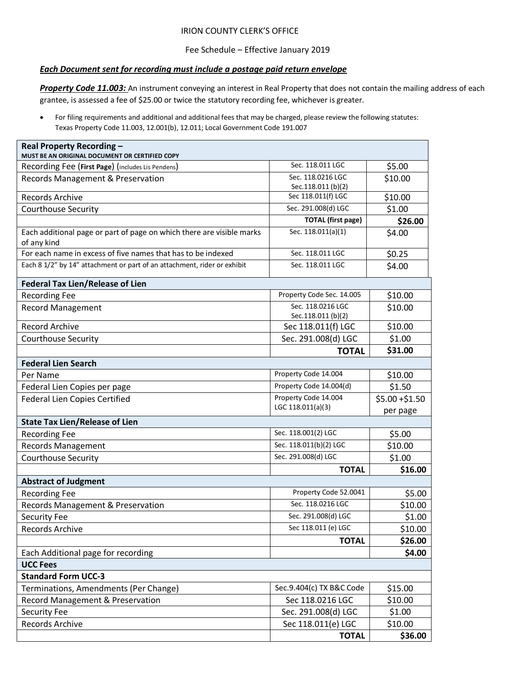## IRION COUNTY CLERK'S OFFICE

## Fee Schedule – Effective January 2019

## *Each Document sent for recording must include a postage paid return envelope*

**Property Code 11.003:** An instrument conveying an interest in Real Property that does not contain the mailing address of each grantee, is assessed a fee of \$25.00 or twice the statutory recording fee, whichever is greater.

• For filing requirements and additional and additional fees that may be charged, please review the following statutes: Texas Property Code 11.003, 12.001(b), 12.011; Local Government Code 191.007

| Real Property Recording -<br>MUST BE AN ORIGINAL DOCUMENT OR CERTIFIED COPY          |                                          |                 |
|--------------------------------------------------------------------------------------|------------------------------------------|-----------------|
| Recording Fee (First Page) (includes Lis Pendens)                                    | Sec. 118.011 LGC                         | \$5.00          |
| Records Management & Preservation                                                    | Sec. 118.0216 LGC<br>Sec.118.011 (b)(2)  | \$10.00         |
| <b>Records Archive</b>                                                               | Sec 118.011(f) LGC                       | \$10.00         |
| Courthouse Security                                                                  | Sec. 291.008(d) LGC                      | \$1.00          |
|                                                                                      | <b>TOTAL</b> (first page)                | \$26.00         |
| Each additional page or part of page on which there are visible marks<br>of any kind | Sec. 118.011(a)(1)                       | \$4.00          |
| For each name in excess of five names that has to be indexed                         | Sec. 118.011 LGC                         | \$0.25          |
| Each 8 1/2" by 14" attachment or part of an attachment, rider or exhibit             | Sec. 118.011 LGC                         | \$4.00          |
| <b>Federal Tax Lien/Release of Lien</b>                                              |                                          |                 |
| <b>Recording Fee</b>                                                                 | Property Code Sec. 14.005                | \$10.00         |
| <b>Record Management</b>                                                             | Sec. 118.0216 LGC                        | \$10.00         |
| <b>Record Archive</b>                                                                | Sec.118.011 (b)(2)<br>Sec 118.011(f) LGC | \$10.00         |
| <b>Courthouse Security</b>                                                           | Sec. 291.008(d) LGC                      | \$1.00          |
|                                                                                      | <b>TOTAL</b>                             | \$31.00         |
| <b>Federal Lien Search</b>                                                           |                                          |                 |
| Per Name                                                                             | Property Code 14.004                     | \$10.00         |
| Federal Lien Copies per page                                                         | Property Code 14.004(d)                  | \$1.50          |
| <b>Federal Lien Copies Certified</b>                                                 | Property Code 14.004                     | $$5.00 + $1.50$ |
|                                                                                      | LGC 118.011(a)(3)                        | per page        |
| <b>State Tax Lien/Release of Lien</b>                                                |                                          |                 |
| <b>Recording Fee</b>                                                                 | Sec. 118.001(2) LGC                      | \$5.00          |
| <b>Records Management</b>                                                            | Sec. 118.011(b)(2) LGC                   | \$10.00         |
| <b>Courthouse Security</b>                                                           | Sec. 291.008(d) LGC                      | \$1.00          |
|                                                                                      | <b>TOTAL</b>                             | \$16.00         |
| <b>Abstract of Judgment</b>                                                          |                                          |                 |
| <b>Recording Fee</b>                                                                 | Property Code 52.0041                    | \$5.00          |
| Records Management & Preservation                                                    | Sec. 118.0216 LGC                        | \$10.00         |
| Security Fee                                                                         | Sec. 291.008(d) LGC                      | \$1.00          |
| Records Archive                                                                      | Sec 118.011 (e) LGC                      | \$10.00         |
|                                                                                      | <b>TOTAL</b>                             | \$26.00         |
| Each Additional page for recording                                                   |                                          | \$4.00          |
| <b>UCC Fees</b>                                                                      |                                          |                 |
| <b>Standard Form UCC-3</b>                                                           |                                          |                 |
| Terminations, Amendments (Per Change)                                                | Sec.9.404(c) TX B&C Code                 | \$15.00         |
| <b>Record Management &amp; Preservation</b>                                          | Sec 118.0216 LGC                         | \$10.00         |
| Security Fee                                                                         | Sec. 291.008(d) LGC                      | \$1.00          |
| <b>Records Archive</b>                                                               | Sec 118.011(e) LGC                       | \$10.00         |
|                                                                                      | <b>TOTAL</b>                             | \$36.00         |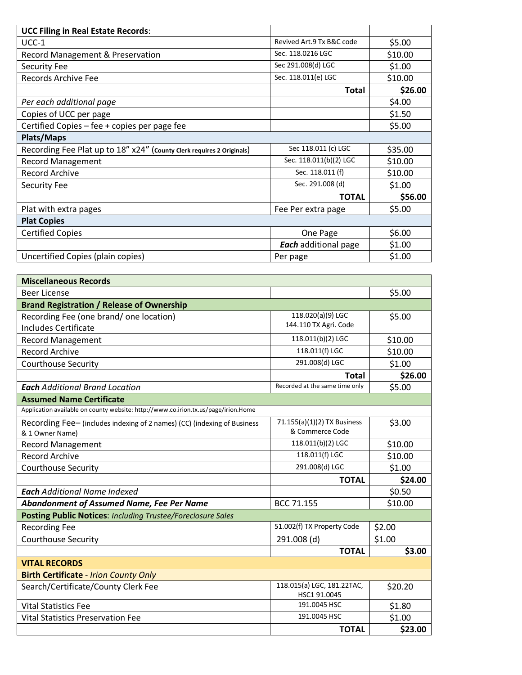| <b>UCC Filing in Real Estate Records:</b>                             |                             |         |  |
|-----------------------------------------------------------------------|-----------------------------|---------|--|
| $UCC-1$                                                               | Revived Art.9 Tx B&C code   | \$5.00  |  |
| Record Management & Preservation                                      | Sec. 118.0216 LGC           | \$10.00 |  |
| <b>Security Fee</b>                                                   | Sec 291.008(d) LGC          | \$1.00  |  |
| Records Archive Fee                                                   | Sec. 118.011(e) LGC         | \$10.00 |  |
|                                                                       | Total                       | \$26.00 |  |
| Per each additional page                                              |                             | \$4.00  |  |
| Copies of UCC per page                                                |                             | \$1.50  |  |
| Certified Copies – fee + copies per page fee                          |                             | \$5.00  |  |
| <b>Plats/Maps</b>                                                     |                             |         |  |
| Recording Fee Plat up to 18" x24" (county Clerk requires 2 Originals) | Sec 118.011 (c) LGC         | \$35.00 |  |
| <b>Record Management</b>                                              | Sec. 118.011(b)(2) LGC      | \$10.00 |  |
| <b>Record Archive</b>                                                 | Sec. 118.011 (f)            | \$10.00 |  |
| <b>Security Fee</b>                                                   | Sec. 291.008 (d)            | \$1.00  |  |
|                                                                       | <b>TOTAL</b>                | \$56.00 |  |
| Plat with extra pages                                                 | Fee Per extra page          | \$5.00  |  |
| <b>Plat Copies</b>                                                    |                             |         |  |
| <b>Certified Copies</b>                                               | One Page                    | \$6.00  |  |
|                                                                       | <b>Each</b> additional page | \$1.00  |  |
| Uncertified Copies (plain copies)                                     | Per page                    | \$1.00  |  |

| <b>Miscellaneous Records</b>                                                       |                                |         |
|------------------------------------------------------------------------------------|--------------------------------|---------|
| <b>Beer License</b>                                                                |                                | \$5.00  |
| <b>Brand Registration / Release of Ownership</b>                                   |                                |         |
| Recording Fee (one brand/one location)                                             | 118.020(a)(9) LGC              | \$5.00  |
| <b>Includes Certificate</b>                                                        | 144.110 TX Agri. Code          |         |
| <b>Record Management</b>                                                           | 118.011(b)(2) LGC              | \$10.00 |
| <b>Record Archive</b>                                                              | 118.011(f) LGC                 | \$10.00 |
| <b>Courthouse Security</b>                                                         | 291.008(d) LGC                 | \$1.00  |
|                                                                                    | <b>Total</b>                   | \$26.00 |
| <b>Each</b> Additional Brand Location                                              | Recorded at the same time only | \$5.00  |
| <b>Assumed Name Certificate</b>                                                    |                                |         |
| Application available on county website: http://www.co.irion.tx.us/page/irion.Home |                                |         |
| Recording Fee- (includes indexing of 2 names) (CC) (indexing of Business           | 71.155(a)(1)(2) TX Business    | \$3.00  |
| & 1 Owner Name)                                                                    | & Commerce Code                |         |
| <b>Record Management</b>                                                           | 118.011(b)(2) LGC              | \$10.00 |
| <b>Record Archive</b>                                                              | 118.011(f) LGC                 | \$10.00 |
| <b>Courthouse Security</b>                                                         | 291.008(d) LGC                 | \$1.00  |
|                                                                                    | <b>TOTAL</b>                   | \$24.00 |
| <b>Each</b> Additional Name Indexed                                                |                                | \$0.50  |
| <b>Abandonment of Assumed Name, Fee Per Name</b>                                   | BCC 71.155                     | \$10.00 |
| <b>Posting Public Notices: Including Trustee/Foreclosure Sales</b>                 |                                |         |
| <b>Recording Fee</b>                                                               | 51.002(f) TX Property Code     | \$2.00  |
| <b>Courthouse Security</b>                                                         | 291.008 (d)                    | \$1.00  |
|                                                                                    | <b>TOTAL</b>                   | \$3.00  |
| <b>VITAL RECORDS</b>                                                               |                                |         |
| <b>Birth Certificate - Irion County Only</b>                                       |                                |         |
| Search/Certificate/County Clerk Fee                                                | 118.015(a) LGC, 181.22TAC,     | \$20.20 |
|                                                                                    | HSC1 91.0045<br>191.0045 HSC   |         |
| <b>Vital Statistics Fee</b>                                                        |                                | \$1.80  |
| <b>Vital Statistics Preservation Fee</b>                                           | 191.0045 HSC                   | \$1.00  |
|                                                                                    | <b>TOTAL</b>                   | \$23.00 |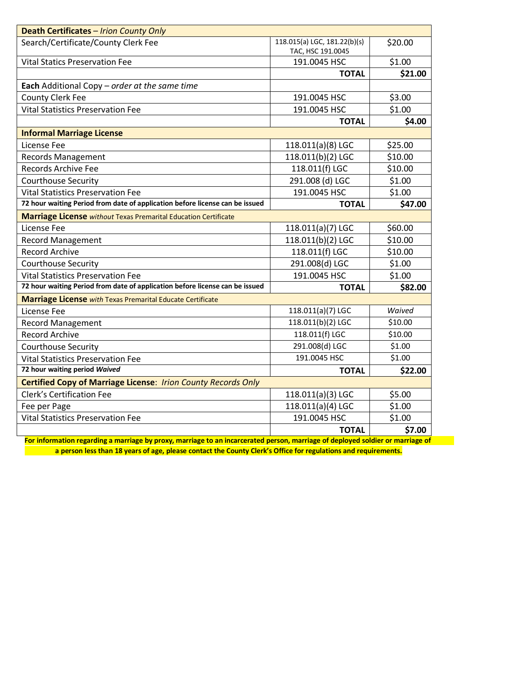| Death Certificates - Irion County Only                                                       |                                                   |         |
|----------------------------------------------------------------------------------------------|---------------------------------------------------|---------|
| Search/Certificate/County Clerk Fee                                                          | 118.015(a) LGC, 181.22(b)(s)<br>TAC, HSC 191.0045 | \$20.00 |
| <b>Vital Statics Preservation Fee</b>                                                        | 191.0045 HSC                                      | \$1.00  |
|                                                                                              | <b>TOTAL</b>                                      | \$21.00 |
| Each Additional Copy - order at the same time                                                |                                                   |         |
| <b>County Clerk Fee</b>                                                                      | 191.0045 HSC                                      | \$3.00  |
| <b>Vital Statistics Preservation Fee</b>                                                     | 191.0045 HSC                                      | \$1.00  |
|                                                                                              | <b>TOTAL</b>                                      | \$4.00  |
| <b>Informal Marriage License</b>                                                             |                                                   |         |
| License Fee                                                                                  | 118.011(a)(8) LGC                                 | \$25.00 |
| <b>Records Management</b>                                                                    | 118.011(b)(2) LGC                                 | \$10.00 |
| <b>Records Archive Fee</b>                                                                   | 118.011(f) LGC                                    | \$10.00 |
| <b>Courthouse Security</b>                                                                   | 291.008 (d) LGC                                   | \$1.00  |
| <b>Vital Statistics Preservation Fee</b>                                                     | 191.0045 HSC                                      | \$1.00  |
| 72 hour waiting Period from date of application before license can be issued                 | <b>TOTAL</b>                                      | \$47.00 |
| Marriage License without Texas Premarital Education Certificate                              |                                                   |         |
| License Fee                                                                                  | 118.011(a)(7) LGC                                 | \$60.00 |
| <b>Record Management</b>                                                                     | 118.011(b)(2) LGC                                 | \$10.00 |
| <b>Record Archive</b>                                                                        | 118.011(f) LGC                                    | \$10.00 |
| Courthouse Security                                                                          | 291.008(d) LGC                                    | \$1.00  |
| <b>Vital Statistics Preservation Fee</b>                                                     | 191.0045 HSC                                      | \$1.00  |
| 72 hour waiting Period from date of application before license can be issued<br><b>TOTAL</b> |                                                   | \$82.00 |
| Marriage License with Texas Premarital Educate Certificate                                   |                                                   |         |
| License Fee                                                                                  | 118.011(a)(7) LGC                                 | Waived  |
| <b>Record Management</b>                                                                     | 118.011(b)(2) LGC                                 | \$10.00 |
| <b>Record Archive</b>                                                                        | 118.011(f) LGC                                    | \$10.00 |
| <b>Courthouse Security</b>                                                                   | 291.008(d) LGC                                    | \$1.00  |
| <b>Vital Statistics Preservation Fee</b>                                                     | 191.0045 HSC<br>\$1.00                            |         |
| 72 hour waiting period Waived                                                                | <b>TOTAL</b>                                      | \$22.00 |
| <b>Certified Copy of Marriage License: Irion County Records Only</b>                         |                                                   |         |
| <b>Clerk's Certification Fee</b>                                                             | 118.011(a)(3) LGC                                 | \$5.00  |
| Fee per Page                                                                                 | 118.011(a)(4) LGC                                 | \$1.00  |
| <b>Vital Statistics Preservation Fee</b>                                                     | 191.0045 HSC                                      | \$1.00  |
|                                                                                              | <b>TOTAL</b>                                      | \$7.00  |

**For information regarding a marriage by proxy, marriage to an incarcerated person, marriage of deployed soldier or marriage of a person less than 18 years of age, please contact the County Clerk's Office for regulations and requirements.**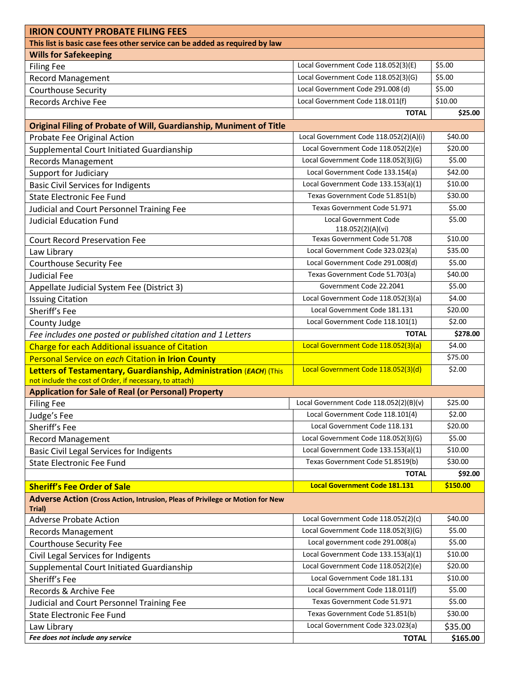|                                                                                         | <b>IRION COUNTY PROBATE FILING FEES</b> |          |  |
|-----------------------------------------------------------------------------------------|-----------------------------------------|----------|--|
| This list is basic case fees other service can be added as required by law              |                                         |          |  |
| <b>Wills for Safekeeping</b>                                                            |                                         |          |  |
| <b>Filing Fee</b>                                                                       | Local Government Code 118.052(3)(E)     | \$5.00   |  |
| <b>Record Management</b>                                                                | Local Government Code 118.052(3)(G)     | \$5.00   |  |
| <b>Courthouse Security</b>                                                              | Local Government Code 291.008 (d)       | \$5.00   |  |
| Records Archive Fee                                                                     | Local Government Code 118.011(f)        | \$10.00  |  |
|                                                                                         | <b>TOTAL</b>                            | \$25.00  |  |
| Original Filing of Probate of Will, Guardianship, Muniment of Title                     |                                         |          |  |
| Probate Fee Original Action                                                             | Local Government Code 118.052(2)(A)(i)  | \$40.00  |  |
| Supplemental Court Initiated Guardianship                                               | Local Government Code 118.052(2)(e)     | \$20.00  |  |
| <b>Records Management</b>                                                               | Local Government Code 118.052(3)(G)     | \$5.00   |  |
| <b>Support for Judiciary</b>                                                            | Local Government Code 133.154(a)        | \$42.00  |  |
| <b>Basic Civil Services for Indigents</b>                                               | Local Government Code 133.153(a)(1)     | \$10.00  |  |
| <b>State Electronic Fee Fund</b>                                                        | Texas Government Code 51.851(b)         | \$30.00  |  |
| Judicial and Court Personnel Training Fee                                               | Texas Government Code 51.971            | \$5.00   |  |
| <b>Judicial Education Fund</b>                                                          | Local Government Code                   | \$5.00   |  |
|                                                                                         | 118.052(2)(A)(vi)                       |          |  |
| <b>Court Record Preservation Fee</b>                                                    | Texas Government Code 51,708            | \$10.00  |  |
| Law Library                                                                             | Local Government Code 323.023(a)        | \$35.00  |  |
| <b>Courthouse Security Fee</b>                                                          | Local Government Code 291.008(d)        | \$5.00   |  |
| <b>Judicial Fee</b>                                                                     | Texas Government Code 51.703(a)         | \$40.00  |  |
| Appellate Judicial System Fee (District 3)                                              | Government Code 22.2041                 | \$5.00   |  |
| <b>Issuing Citation</b>                                                                 | Local Government Code 118.052(3)(a)     | \$4.00   |  |
| Sheriff's Fee                                                                           | Local Government Code 181.131           | \$20.00  |  |
| County Judge                                                                            | Local Government Code 118.101(1)        | \$2.00   |  |
| Fee includes one posted or published citation and 1 Letters                             | <b>TOTAL</b>                            | \$278.00 |  |
| <b>Charge for each Additional issuance of Citation</b>                                  | Local Government Code 118.052(3)(a)     | \$4.00   |  |
| Personal Service on each Citation in Irion County                                       |                                         | \$75.00  |  |
| Letters of Testamentary, Guardianship, Administration (EACH) (This                      | Local Government Code 118.052(3)(d)     | \$2.00   |  |
| not include the cost of Order, if necessary, to attach)                                 |                                         |          |  |
| <b>Application for Sale of Real (or Personal) Property</b>                              |                                         |          |  |
| <b>Filing Fee</b>                                                                       | Local Government Code 118.052(2)(B)(v)  | \$25.00  |  |
| Judge's Fee                                                                             |                                         |          |  |
|                                                                                         | Local Government Code 118.101(4)        | \$2.00   |  |
| Sheriff's Fee                                                                           | Local Government Code 118.131           | \$20.00  |  |
| <b>Record Management</b>                                                                | Local Government Code 118.052(3)(G)     | \$5.00   |  |
| <b>Basic Civil Legal Services for Indigents</b>                                         | Local Government Code 133.153(a)(1)     | \$10.00  |  |
| State Electronic Fee Fund                                                               | Texas Government Code 51.8519(b)        | \$30.00  |  |
|                                                                                         | <b>TOTAL</b>                            | \$92.00  |  |
| <b>Sheriff's Fee Order of Sale</b>                                                      | <b>Local Government Code 181.131</b>    | \$150.00 |  |
| Adverse Action (Cross Action, Intrusion, Pleas of Privilege or Motion for New<br>Trial) |                                         |          |  |
| <b>Adverse Probate Action</b>                                                           | Local Government Code 118.052(2)(c)     | \$40.00  |  |
| <b>Records Management</b>                                                               | Local Government Code 118.052(3)(G)     | \$5.00   |  |
| <b>Courthouse Security Fee</b>                                                          | Local government code 291.008(a)        | \$5.00   |  |
| Civil Legal Services for Indigents                                                      | Local Government Code 133.153(a)(1)     | \$10.00  |  |
| Supplemental Court Initiated Guardianship                                               | Local Government Code 118.052(2)(e)     | \$20.00  |  |
| Sheriff's Fee                                                                           | Local Government Code 181.131           | \$10.00  |  |
| Records & Archive Fee                                                                   | Local Government Code 118.011(f)        | \$5.00   |  |
| Judicial and Court Personnel Training Fee                                               | Texas Government Code 51.971            | \$5.00   |  |
| State Electronic Fee Fund                                                               | Texas Government Code 51.851(b)         | \$30.00  |  |
| Law Library                                                                             | Local Government Code 323.023(a)        | \$35.00  |  |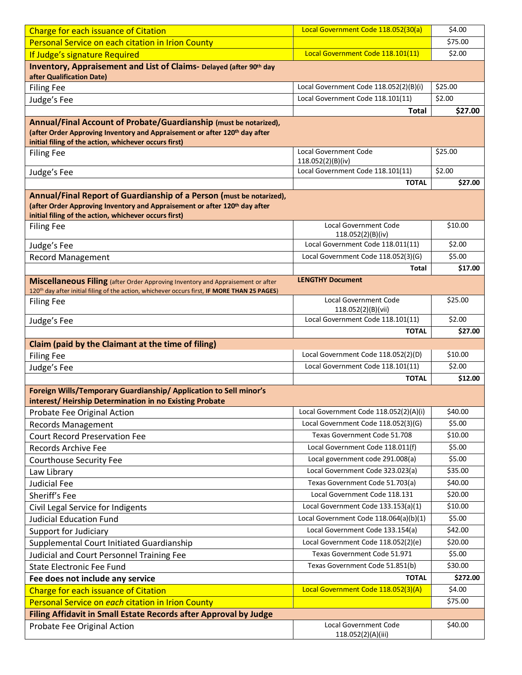| <b>Charge for each issuance of Citation</b>                                                                                                     | Local Government Code 118.052(30(a)    | \$4.00   |
|-------------------------------------------------------------------------------------------------------------------------------------------------|----------------------------------------|----------|
| Personal Service on each citation in Irion County                                                                                               |                                        | \$75.00  |
| If Judge's signature Required                                                                                                                   | Local Government Code 118.101(11)      | \$2.00   |
| Inventory, Appraisement and List of Claims- Delayed (after 90th day                                                                             |                                        |          |
| after Qualification Date)                                                                                                                       |                                        |          |
| <b>Filing Fee</b>                                                                                                                               | Local Government Code 118.052(2)(B)(i) | \$25.00  |
| Judge's Fee                                                                                                                                     | Local Government Code 118.101(11)      | \$2.00   |
|                                                                                                                                                 | <b>Total</b>                           | \$27.00  |
| Annual/Final Account of Probate/Guardianship (must be notarized),                                                                               |                                        |          |
| (after Order Approving Inventory and Appraisement or after 120 <sup>th</sup> day after<br>initial filing of the action, whichever occurs first) |                                        |          |
| <b>Filing Fee</b>                                                                                                                               | <b>Local Government Code</b>           | \$25.00  |
|                                                                                                                                                 | 118.052(2)(B)(iv)                      |          |
| Judge's Fee                                                                                                                                     | Local Government Code 118.101(11)      | \$2.00   |
|                                                                                                                                                 | <b>TOTAL</b>                           | \$27.00  |
| Annual/Final Report of Guardianship of a Person (must be notarized),                                                                            |                                        |          |
| (after Order Approving Inventory and Appraisement or after 120 <sup>th</sup> day after<br>initial filing of the action, whichever occurs first) |                                        |          |
| <b>Filing Fee</b>                                                                                                                               | <b>Local Government Code</b>           | \$10.00  |
|                                                                                                                                                 | 118.052(2)(B)(iv)                      |          |
| Judge's Fee                                                                                                                                     | Local Government Code 118.011(11)      | \$2.00   |
| <b>Record Management</b>                                                                                                                        | Local Government Code 118.052(3)(G)    | \$5.00   |
|                                                                                                                                                 | Total                                  | \$17.00  |
| Miscellaneous Filing (after Order Approving Inventory and Appraisement or after                                                                 | <b>LENGTHY Document</b>                |          |
| 120 <sup>th</sup> day after initial filing of the action, whichever occurs first, IF MORE THAN 25 PAGES)<br><b>Filing Fee</b>                   | <b>Local Government Code</b>           | \$25.00  |
|                                                                                                                                                 | 118.052(2)(B)(vii)                     |          |
| Judge's Fee                                                                                                                                     | Local Government Code 118.101(11)      | \$2.00   |
|                                                                                                                                                 | <b>TOTAL</b>                           | \$27.00  |
| Claim (paid by the Claimant at the time of filing)                                                                                              |                                        |          |
| <b>Filing Fee</b>                                                                                                                               | Local Government Code 118.052(2)(D)    | \$10.00  |
| Judge's Fee                                                                                                                                     | Local Government Code 118.101(11)      | \$2.00   |
|                                                                                                                                                 | <b>TOTAL</b>                           | \$12.00  |
| Foreign Wills/Temporary Guardianship/ Application to Sell minor's<br>interest/Heirship Determination in no Existing Probate                     |                                        |          |
| Probate Fee Original Action                                                                                                                     | Local Government Code 118.052(2)(A)(i) | \$40.00  |
| <b>Records Management</b>                                                                                                                       | Local Government Code 118.052(3)(G)    | \$5.00   |
| <b>Court Record Preservation Fee</b>                                                                                                            | Texas Government Code 51.708           | \$10.00  |
| Records Archive Fee                                                                                                                             | Local Government Code 118.011(f)       | \$5.00   |
| <b>Courthouse Security Fee</b>                                                                                                                  | Local government code 291.008(a)       | \$5.00   |
| Law Library                                                                                                                                     | Local Government Code 323.023(a)       | \$35.00  |
| <b>Judicial Fee</b>                                                                                                                             | Texas Government Code 51.703(a)        | \$40.00  |
| Sheriff's Fee                                                                                                                                   | Local Government Code 118.131          | \$20.00  |
| Civil Legal Service for Indigents                                                                                                               | Local Government Code 133.153(a)(1)    | \$10.00  |
| <b>Judicial Education Fund</b>                                                                                                                  | Local Government Code 118.064(a)(b)(1) | \$5.00   |
| Support for Judiciary                                                                                                                           | Local Government Code 133.154(a)       | \$42.00  |
| Supplemental Court Initiated Guardianship                                                                                                       | Local Government Code 118.052(2)(e)    | \$20.00  |
| Judicial and Court Personnel Training Fee                                                                                                       | Texas Government Code 51.971           | \$5.00   |
| <b>State Electronic Fee Fund</b>                                                                                                                | Texas Government Code 51.851(b)        | \$30.00  |
| Fee does not include any service                                                                                                                | <b>TOTAL</b>                           | \$272.00 |
| <b>Charge for each issuance of Citation</b>                                                                                                     | Local Government Code 118.052(3)(A)    | \$4.00   |
| Personal Service on each citation in Irion County                                                                                               |                                        | \$75.00  |
| Filing Affidavit in Small Estate Records after Approval by Judge                                                                                |                                        |          |
| Probate Fee Original Action                                                                                                                     | Local Government Code                  | \$40.00  |
|                                                                                                                                                 | 118.052(2)(A)(iii)                     |          |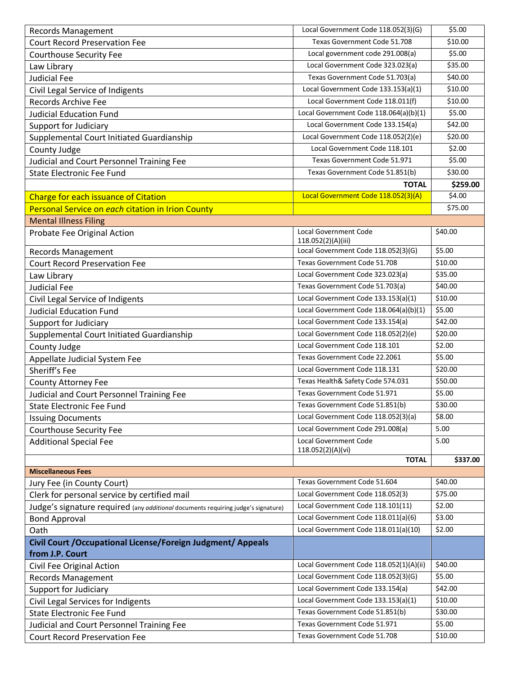| <b>Records Management</b>                                                         | Local Government Code 118.052(3)(G)     | \$5.00   |
|-----------------------------------------------------------------------------------|-----------------------------------------|----------|
| <b>Court Record Preservation Fee</b>                                              | Texas Government Code 51.708            | \$10.00  |
| <b>Courthouse Security Fee</b>                                                    | Local government code 291.008(a)        | \$5.00   |
| Law Library                                                                       | Local Government Code 323.023(a)        | \$35.00  |
| <b>Judicial Fee</b>                                                               | Texas Government Code 51.703(a)         | \$40.00  |
| Civil Legal Service of Indigents                                                  | Local Government Code 133.153(a)(1)     | \$10.00  |
| <b>Records Archive Fee</b>                                                        | Local Government Code 118.011(f)        | \$10.00  |
| <b>Judicial Education Fund</b>                                                    | Local Government Code 118.064(a)(b)(1)  | \$5.00   |
| Support for Judiciary                                                             | Local Government Code 133.154(a)        | \$42.00  |
| Supplemental Court Initiated Guardianship                                         | Local Government Code 118.052(2)(e)     | \$20.00  |
| County Judge                                                                      | Local Government Code 118.101           | \$2.00   |
| Judicial and Court Personnel Training Fee                                         | Texas Government Code 51.971            | \$5.00   |
| <b>State Electronic Fee Fund</b>                                                  | Texas Government Code 51.851(b)         | \$30.00  |
|                                                                                   | <b>TOTAL</b>                            | \$259.00 |
| <b>Charge for each issuance of Citation</b>                                       | Local Government Code 118.052(3)(A)     | \$4.00   |
| Personal Service on each citation in Irion County                                 |                                         | \$75.00  |
| <b>Mental Illness Filing</b>                                                      |                                         |          |
| Probate Fee Original Action                                                       | <b>Local Government Code</b>            | \$40.00  |
|                                                                                   | 118.052(2)(A)(iii)                      |          |
| <b>Records Management</b>                                                         | Local Government Code 118.052(3)(G)     | \$5.00   |
| <b>Court Record Preservation Fee</b>                                              | Texas Government Code 51.708            | \$10.00  |
| Law Library                                                                       | Local Government Code 323.023(a)        | \$35.00  |
| <b>Judicial Fee</b>                                                               | Texas Government Code 51.703(a)         | \$40.00  |
| Civil Legal Service of Indigents                                                  | Local Government Code 133.153(a)(1)     | \$10.00  |
| <b>Judicial Education Fund</b>                                                    | Local Government Code 118.064(a)(b)(1)  | \$5.00   |
| Support for Judiciary                                                             | Local Government Code 133.154(a)        | \$42.00  |
| Supplemental Court Initiated Guardianship                                         | Local Government Code 118.052(2)(e)     | \$20.00  |
| County Judge                                                                      | Local Government Code 118.101           | \$2.00   |
| Appellate Judicial System Fee                                                     | Texas Government Code 22.2061           | \$5.00   |
| Sheriff's Fee                                                                     | Local Government Code 118.131           | \$20.00  |
| <b>County Attorney Fee</b>                                                        | Texas Health& Safety Code 574.031       | \$50.00  |
| Judicial and Court Personnel Training Fee                                         | Texas Government Code 51.971            | \$5.00   |
| <b>State Electronic Fee Fund</b>                                                  | Texas Government Code 51.851(b)         | \$30.00  |
| <b>Issuing Documents</b>                                                          | Local Government Code 118.052(3)(a)     | \$8.00   |
| <b>Courthouse Security Fee</b>                                                    | Local Government Code 291.008(a)        | 5.00     |
| <b>Additional Special Fee</b>                                                     | Local Government Code                   | 5.00     |
|                                                                                   | 118.052(2)(A)(vi)                       |          |
|                                                                                   | <b>TOTAL</b>                            | \$337.00 |
| <b>Miscellaneous Fees</b>                                                         |                                         |          |
| Jury Fee (in County Court)                                                        | Texas Government Code 51.604            | \$40.00  |
| Clerk for personal service by certified mail                                      | Local Government Code 118.052(3)        | \$75.00  |
| Judge's signature required (any additional documents requiring judge's signature) | Local Government Code 118.101(11)       | \$2.00   |
| <b>Bond Approval</b>                                                              | Local Government Code 118.011(a)(6)     | \$3.00   |
| Oath                                                                              | Local Government Code 118.011(a)(10)    | \$2.00   |
| Civil Court / Occupational License/Foreign Judgment/ Appeals                      |                                         |          |
| from J.P. Court                                                                   |                                         |          |
| Civil Fee Original Action                                                         | Local Government Code 118.052(1)(A)(ii) | \$40.00  |
| <b>Records Management</b>                                                         | Local Government Code 118.052(3)(G)     | \$5.00   |
| Support for Judiciary                                                             | Local Government Code 133.154(a)        | \$42.00  |
| Civil Legal Services for Indigents                                                | Local Government Code 133.153(a)(1)     | \$10.00  |
| <b>State Electronic Fee Fund</b>                                                  | Texas Government Code 51.851(b)         | \$30.00  |
| Judicial and Court Personnel Training Fee                                         | Texas Government Code 51.971            | \$5.00   |
| <b>Court Record Preservation Fee</b>                                              | Texas Government Code 51.708            | \$10.00  |